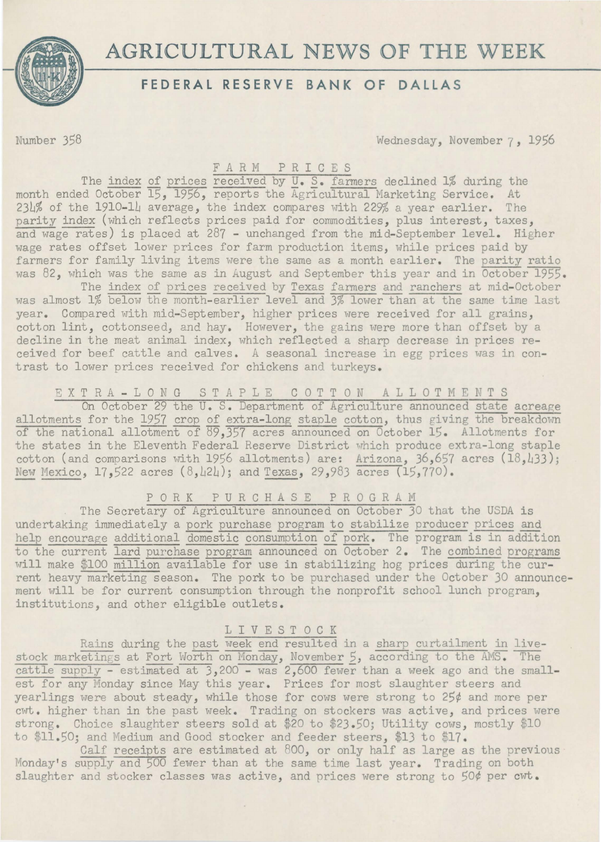**AGRICULTURAL NEWS OF THE WEEK** 



## **FEDERAL RESERVE BANK OF DALLAS**

Number 358 Wednesday, November 7, 1956

## F A R M P R I C E S

The index of prices received by U.S. farmers declined 1% during the month ended October 15, 1956, reports the Agricultural Marketing Service. At 23L% of the 1910-lL average, the index compares with 229% a year earlier. The parity index (which reflects prices paid for commodities, plus interest, taxes, and wage rates) is placed at 287 - unchanged from the mid-September level. Higher wage rates offset lower prices for farm production items, while prices paid by farmers for family living items were the same as a month earlier. The parity ratio was 82, which was the same as in August and September this year and in October 1955.

The index of prices received by Texas farmers and ranchers at mid-October was almost 1% below the month-earlier level and 3% lower than at the same time last year. Compared with mid-September, higher prices were received for all grains, cotton lint, cottonseed, and hay. However, the gains were more than offset by a decline in the meat animal index, which reflected a sharp decrease in prices received for beef cattle and calves. A seasonal increase in egg prices was in contrast to lower prices received for chickens and turkeys.

# E X T R A - L 0 N G S T A P L E COTTON ALLOTM EN TS

On October 29 the U. S. Department of Agriculture announced state acreage allotments for the 1957 crop of extra-long staple cotton, thus giving the breakdown of the national allotment of 89,357 acres announced on October 15. Allotments for the states in the Eleventh Federal Reserve District which produce extra-long staple cotton (and comparisons with 1956 allotments) are: Arizona,  $36,657$  acres  $(18,133)$ ; New Mexico, 17,522 acres (8,424); and Texas, 29,983 acres (15,770).

P 0 R K P U R C H A S E P R 0 G R A M

The Secretary of Agriculture announced on October 30 that the USDA is undertaking immediately a pork purchase program to stabilize producer prices and help encourage additional domestic consumption of pork. The program is in addition to the current lard purchase program announced on October 2. The combined programs will make \$100 million available for use in stabilizing hog prices during the current heavy marketing season. The pork to be purchased under the October JO announcement will be for current consumption through the nonprofit school lunch program, institutions, and other eligible outlets.

#### LIVESTOCK

Rains during the past week end resulted in a sharp curtailment in livestock marketings at Fort Worth on Monday, November 5, according to the AMS. The cattle supply - estimated at 3,200 - was 2,600 fewer than a week ago and the smallest for any Monday since May this year. Prices for most slaughter steers and yearlings were about steady, while those for cows were strong to 25¢ and more per cwt. higher than in the past week. Trading on stockers was active, and prices were strong. Choice slaughter steers sold at \$20 to \$23.50; Utility cows, mostly \$10 to \$11.50; and Medium and Good stocker and feeder steers, \$13 to \$17.

Calf receipts are estimated at 800, or only half as large as the previous Monday's supply and 500 fewer than at the same time last year. Trading on both slaughter and stocker classes was active, and prices were strong to 50¢ per cwt.